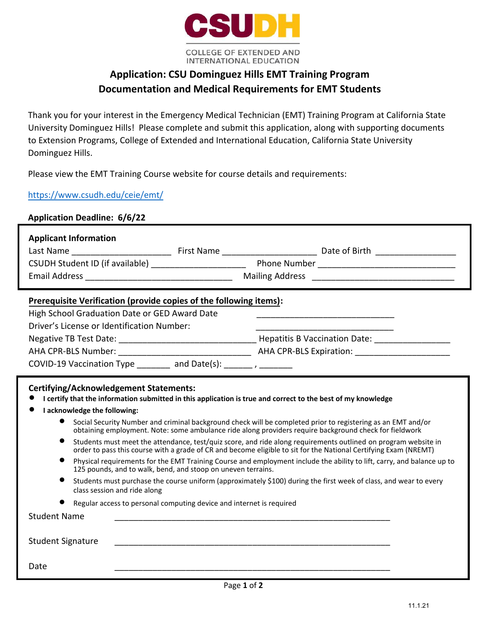

## **Application: CSU Dominguez Hills EMT Training Program Documentation and Medical Requirements for EMT Students**

Thank you for your interest in the Emergency Medical Technician (EMT) Training Program at California State University Dominguez Hills! Please complete and submit this application, along with supporting documents to Extension Programs, College of Extended and International Education, California State University Dominguez Hills.

Please view the EMT Training Course website for course details and requirements:

[https://www.csudh.edu/ceie/emt/](https://www.csudh.edu/ceie/emt)

| <b>Application Deadline: 6/6/22</b> |  |
|-------------------------------------|--|
|                                     |  |
|                                     |  |

| <b>Applicant Information</b>                                                                                                                                                                                                                                                                                                                                                                                                                                                                                                                                                                                                                                                                                                                                                                                                                                                                                                                                                                                                                                                                                                                         |  |  |  |  |
|------------------------------------------------------------------------------------------------------------------------------------------------------------------------------------------------------------------------------------------------------------------------------------------------------------------------------------------------------------------------------------------------------------------------------------------------------------------------------------------------------------------------------------------------------------------------------------------------------------------------------------------------------------------------------------------------------------------------------------------------------------------------------------------------------------------------------------------------------------------------------------------------------------------------------------------------------------------------------------------------------------------------------------------------------------------------------------------------------------------------------------------------------|--|--|--|--|
|                                                                                                                                                                                                                                                                                                                                                                                                                                                                                                                                                                                                                                                                                                                                                                                                                                                                                                                                                                                                                                                                                                                                                      |  |  |  |  |
|                                                                                                                                                                                                                                                                                                                                                                                                                                                                                                                                                                                                                                                                                                                                                                                                                                                                                                                                                                                                                                                                                                                                                      |  |  |  |  |
|                                                                                                                                                                                                                                                                                                                                                                                                                                                                                                                                                                                                                                                                                                                                                                                                                                                                                                                                                                                                                                                                                                                                                      |  |  |  |  |
| Prerequisite Verification (provide copies of the following items):<br>High School Graduation Date or GED Award Date<br>Driver's License or Identification Number:<br>COVID-19 Vaccination Type $\frac{1}{2}$ and Date(s): $\frac{1}{2}$ , $\frac{1}{2}$                                                                                                                                                                                                                                                                                                                                                                                                                                                                                                                                                                                                                                                                                                                                                                                                                                                                                              |  |  |  |  |
| <b>Certifying/Acknowledgement Statements:</b><br>I certify that the information submitted in this application is true and correct to the best of my knowledge<br>I acknowledge the following:<br>Social Security Number and criminal background check will be completed prior to registering as an EMT and/or<br>obtaining employment. Note: some ambulance ride along providers require background check for fieldwork<br>$\bullet$<br>Students must meet the attendance, test/quiz score, and ride along requirements outlined on program website in<br>order to pass this course with a grade of CR and become eligible to sit for the National Certifying Exam (NREMT)<br>Physical requirements for the EMT Training Course and employment include the ability to lift, carry, and balance up to<br>125 pounds, and to walk, bend, and stoop on uneven terrains.<br>Students must purchase the course uniform (approximately \$100) during the first week of class, and wear to every<br>class session and ride along<br>Regular access to personal computing device and internet is required<br><b>Student Name</b><br><b>Student Signature</b> |  |  |  |  |
|                                                                                                                                                                                                                                                                                                                                                                                                                                                                                                                                                                                                                                                                                                                                                                                                                                                                                                                                                                                                                                                                                                                                                      |  |  |  |  |
| Date                                                                                                                                                                                                                                                                                                                                                                                                                                                                                                                                                                                                                                                                                                                                                                                                                                                                                                                                                                                                                                                                                                                                                 |  |  |  |  |